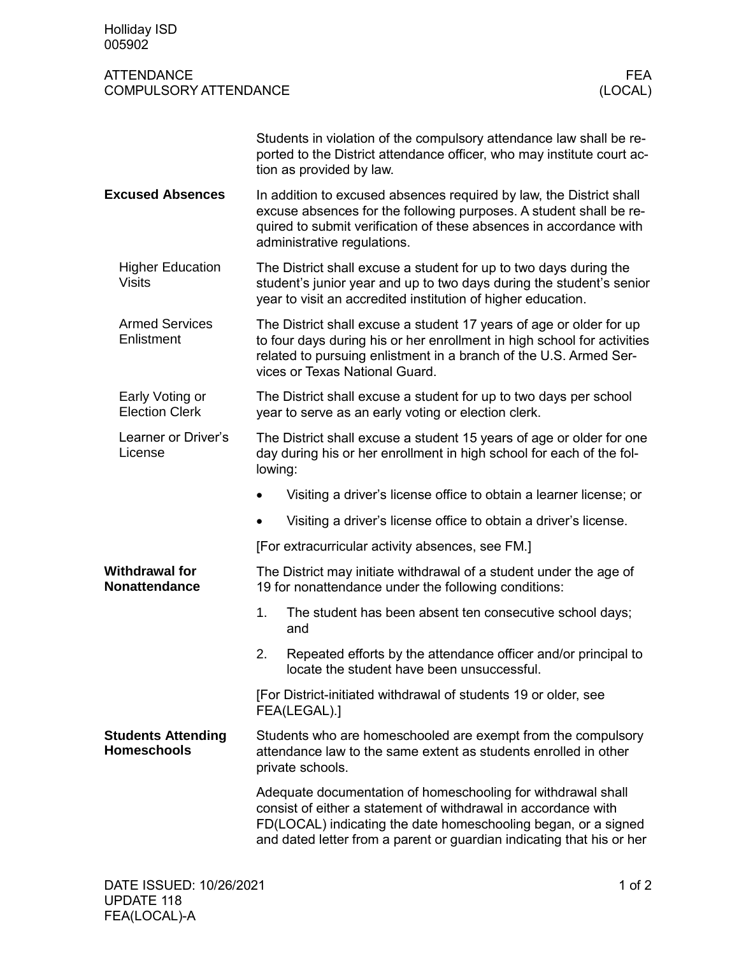| <b>Holliday ISD</b><br>005902                     |                                                                                                                                                                                                                                                                           |
|---------------------------------------------------|---------------------------------------------------------------------------------------------------------------------------------------------------------------------------------------------------------------------------------------------------------------------------|
| <b>ATTENDANCE</b><br><b>COMPULSORY ATTENDANCE</b> | <b>FEA</b><br>(LOCAL)                                                                                                                                                                                                                                                     |
|                                                   | Students in violation of the compulsory attendance law shall be re-<br>ported to the District attendance officer, who may institute court ac-<br>tion as provided by law.                                                                                                 |
| <b>Excused Absences</b>                           | In addition to excused absences required by law, the District shall<br>excuse absences for the following purposes. A student shall be re-<br>quired to submit verification of these absences in accordance with<br>administrative regulations.                            |
| <b>Higher Education</b><br><b>Visits</b>          | The District shall excuse a student for up to two days during the<br>student's junior year and up to two days during the student's senior<br>year to visit an accredited institution of higher education.                                                                 |
| <b>Armed Services</b><br>Enlistment               | The District shall excuse a student 17 years of age or older for up<br>to four days during his or her enrollment in high school for activities<br>related to pursuing enlistment in a branch of the U.S. Armed Ser-<br>vices or Texas National Guard.                     |
| Early Voting or<br><b>Election Clerk</b>          | The District shall excuse a student for up to two days per school<br>year to serve as an early voting or election clerk.                                                                                                                                                  |
| Learner or Driver's<br>License                    | The District shall excuse a student 15 years of age or older for one<br>day during his or her enrollment in high school for each of the fol-<br>lowing:                                                                                                                   |
|                                                   | Visiting a driver's license office to obtain a learner license; or                                                                                                                                                                                                        |
|                                                   | Visiting a driver's license office to obtain a driver's license.                                                                                                                                                                                                          |
|                                                   | [For extracurricular activity absences, see FM.]                                                                                                                                                                                                                          |
| <b>Withdrawal for</b><br><b>Nonattendance</b>     | The District may initiate withdrawal of a student under the age of<br>19 for nonattendance under the following conditions:                                                                                                                                                |
|                                                   | 1.<br>The student has been absent ten consecutive school days;<br>and                                                                                                                                                                                                     |
|                                                   | Repeated efforts by the attendance officer and/or principal to<br>2.<br>locate the student have been unsuccessful.                                                                                                                                                        |
|                                                   | [For District-initiated withdrawal of students 19 or older, see<br>FEA(LEGAL).]                                                                                                                                                                                           |
| <b>Students Attending</b><br><b>Homeschools</b>   | Students who are homeschooled are exempt from the compulsory<br>attendance law to the same extent as students enrolled in other<br>private schools.                                                                                                                       |
|                                                   | Adequate documentation of homeschooling for withdrawal shall<br>consist of either a statement of withdrawal in accordance with<br>FD(LOCAL) indicating the date homeschooling began, or a signed<br>and dated letter from a parent or guardian indicating that his or her |